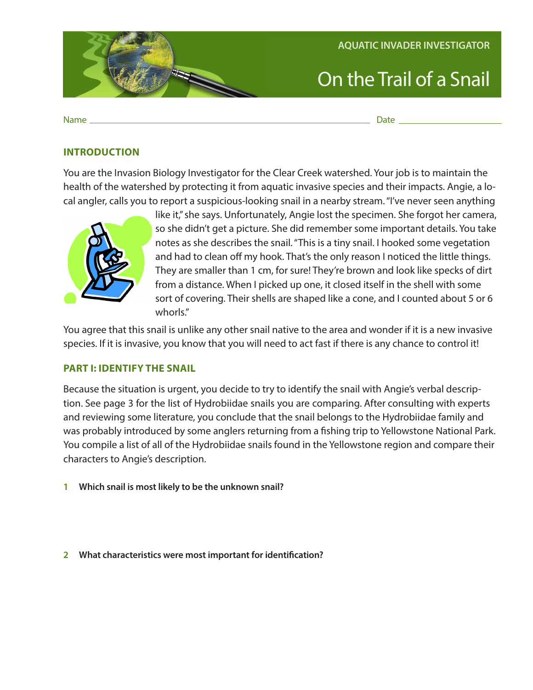

Name\_ Name Date

#### **INTRODUCTION**

You are the Invasion Biology Investigator for the Clear Creek watershed. Your job is to maintain the health of the watershed by protecting it from aquatic invasive species and their impacts. Angie, a local angler, calls you to report a suspicious-looking snail in a nearby stream. "I've never seen anything



like it," she says. Unfortunately, Angie lost the specimen. She forgot her camera, so she didn't get a picture. She did remember some important details. You take notes as she describes the snail. "This is a tiny snail. I hooked some vegetation and had to clean off my hook. That's the only reason I noticed the little things. They are smaller than 1 cm, for sure! They're brown and look like specks of dirt from a distance. When I picked up one, it closed itself in the shell with some sort of covering. Their shells are shaped like a cone, and I counted about 5 or 6 whorls."

You agree that this snail is unlike any other snail native to the area and wonder if it is a new invasive species. If it is invasive, you know that you will need to act fast if there is any chance to control it!

#### **PART I: IDENTIFY THE SNAIL**

 tion. See page 3 for the list of Hydrobiidae snails you are comparing. After consulting with experts Because the situation is urgent, you decide to try to identify the snail with Angie's verbal descripand reviewing some literature, you conclude that the snail belongs to the Hydrobiidae family and was probably introduced by some anglers returning from a fishing trip to Yellowstone National Park. You compile a list of all of the Hydrobiidae snails found in the Yellowstone region and compare their characters to Angie's description.

**1 Which snail is most likely to be the unknown snail?** 

**2 What characteristics were most important for identification?**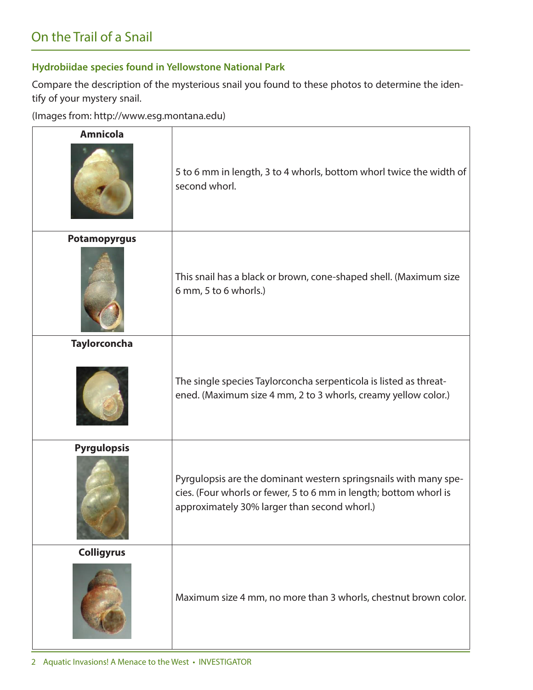## **Hydrobiidae species found in Yellowstone National Park**

 Compare the description of the mysterious snail you found to these photos to determine the iden-tify of your mystery snail.

(Images from: http://www.esg.montana.edu)

| <b>Amnicola</b>     | 5 to 6 mm in length, 3 to 4 whorls, bottom whorl twice the width of<br>second whorl.                                                                                                  |  |  |
|---------------------|---------------------------------------------------------------------------------------------------------------------------------------------------------------------------------------|--|--|
| <b>Potamopyrgus</b> | This snail has a black or brown, cone-shaped shell. (Maximum size<br>6 mm, 5 to 6 whorls.)                                                                                            |  |  |
| <b>Taylorconcha</b> | The single species Taylorconcha serpenticola is listed as threat-<br>ened. (Maximum size 4 mm, 2 to 3 whorls, creamy yellow color.)                                                   |  |  |
| <b>Pyrgulopsis</b>  | Pyrgulopsis are the dominant western springsnails with many spe-<br>cies. (Four whorls or fewer, 5 to 6 mm in length; bottom whorl is<br>approximately 30% larger than second whorl.) |  |  |
| <b>Colligyrus</b>   | Maximum size 4 mm, no more than 3 whorls, chestnut brown color.                                                                                                                       |  |  |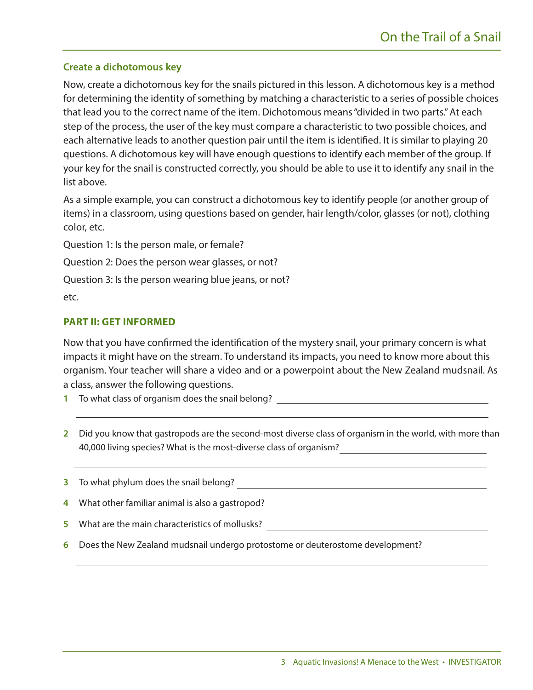### **Create a dichotomous key**

Now, create a dichotomous key for the snails pictured in this lesson. A dichotomous key is a method for determining the identity of something by matching a characteristic to a series of possible choices that lead you to the correct name of the item. Dichotomous means "divided in two parts." At each step of the process, the user of the key must compare a characteristic to two possible choices, and each alternative leads to another question pair until the item is identified. It is similar to playing 20 questions. A dichotomous key will have enough questions to identify each member of the group. If your key for the snail is constructed correctly, you should be able to use it to identify any snail in the list above.

As a simple example, you can construct a dichotomous key to identify people (or another group of items) in a classroom, using questions based on gender, hair length/color, glasses (or not), clothing color, etc.

Question 1: Is the person male, or female?

Question 2: Does the person wear glasses, or not?

Question 3: Is the person wearing blue jeans, or not?

etc.

#### **PART II: GET INFORMED**

 organism. Your teacher will share a video and or a powerpoint about the New Zealand mudsnail. As Now that you have confirmed the identification of the mystery snail, your primary concern is what impacts it might have on the stream. To understand its impacts, you need to know more about this a class, answer the following questions.

- **1** To what class of organism does the snail belong?
- **2**  Did you know that gastropods are the second-most diverse class of organism in the world, with more than 40,000 living species? What is the most-diverse class of organism?
- **3**  To what phylum does the snail belong? **4**  What other familiar animal is also a gastropod? What are the main characteristics of mollusks? **5**
- Does the New Zealand mudsnail undergo protostome or deuterostome development? **6**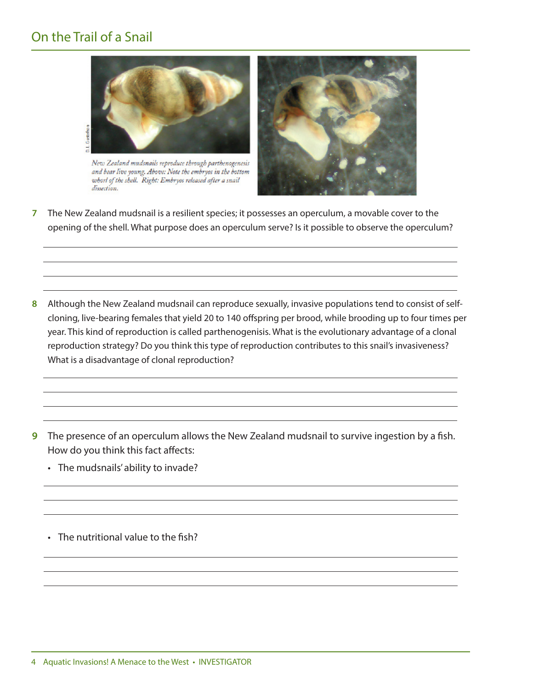# On the Trail of a Snail



 $New Zealand$  mudsnails reproduce through parthenogenesis and bear live young. Above: Note the embryos in the bottom *whorl of the shell. Right: Embryos released after a snail*  $dissection.$ 



- **7**  The New Zealand mudsnail is a resilient species; it possesses an operculum, a movable cover to the opening of the shell. What purpose does an operculum serve? Is it possible to observe the operculum?
- **8**  Although the New Zealand mudsnail can reproduce sexually, invasive populations tend to consist of selfcloning, live-bearing females that yield 20 to 140 offspring per brood, while brooding up to four times per year. This kind of reproduction is called parthenogenisis. What is the evolutionary advantage of a clonal reproduction strategy? Do you think this type of reproduction contributes to this snail's invasiveness? What is a disadvantage of clonal reproduction?
- **9** The presence of an operculum allows the New Zealand mudsnail to survive ingestion by a fish. How do you think this fact affects:
	- The mudsnails' ability to invade?
	- The nutritional value to the fish?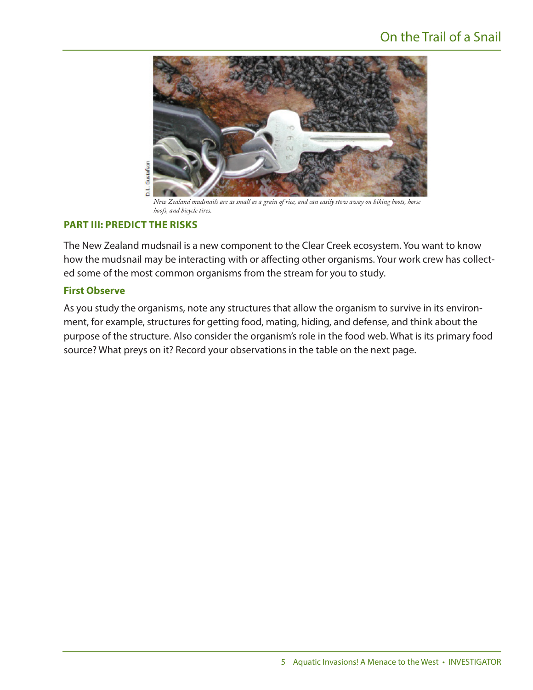# On the Trail of a Snail



*New Zealand mudsnails are as small as a grain of rice, and can easily stow away on hiking boots, horse hoofs, and bicycle tires.* 

#### **PART III: PREDICT THE RISKS**

The New Zealand mudsnail is a new component to the Clear Creek ecosystem. You want to know how the mudsnail may be interacting with or affecting other organisms. Your work crew has collected some of the most common organisms from the stream for you to study.

#### **First Observe**

As you study the organisms, note any structures that allow the organism to survive in its environment, for example, structures for getting food, mating, hiding, and defense, and think about the purpose of the structure. Also consider the organism's role in the food web. What is its primary food source? What preys on it? Record your observations in the table on the next page.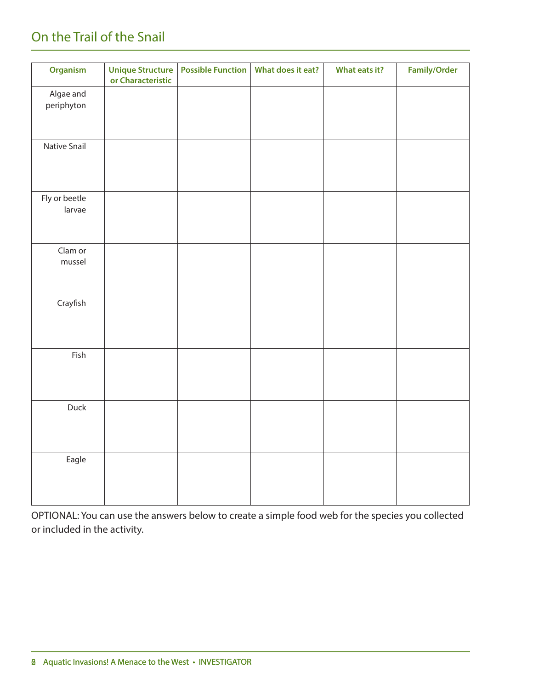# On the Trail of the Snail

| Organism                | <b>Unique Structure</b><br>or Characteristic | <b>Possible Function</b> | What does it eat? | What eats it? | <b>Family/Order</b> |
|-------------------------|----------------------------------------------|--------------------------|-------------------|---------------|---------------------|
| Algae and<br>periphyton |                                              |                          |                   |               |                     |
| Native Snail            |                                              |                          |                   |               |                     |
| Fly or beetle<br>larvae |                                              |                          |                   |               |                     |
| Clam or<br>mussel       |                                              |                          |                   |               |                     |
| Crayfish                |                                              |                          |                   |               |                     |
| Fish                    |                                              |                          |                   |               |                     |
| Duck                    |                                              |                          |                   |               |                     |
| Eagle                   |                                              |                          |                   |               |                     |

OPTIONAL: You can use the answers below to create a simple food web for the species you collected or included in the activity.